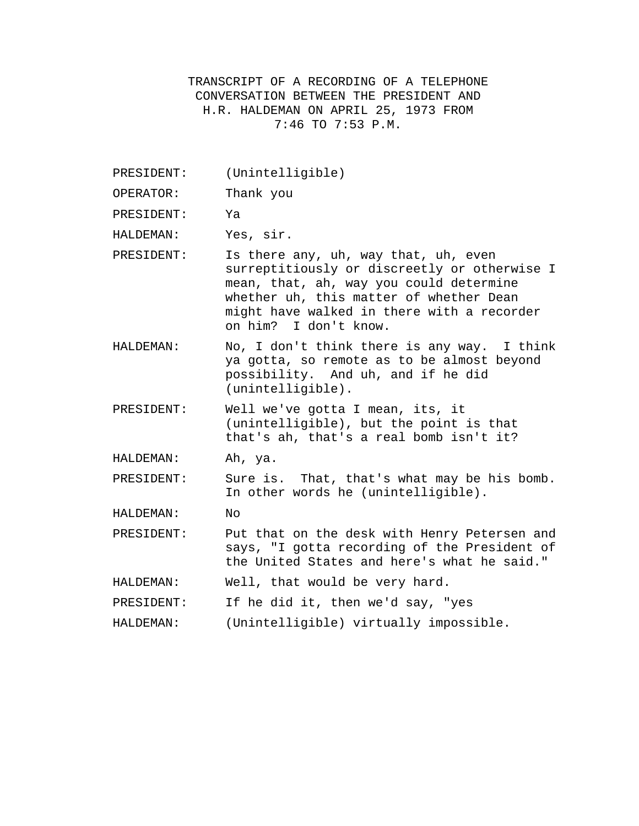TRANSCRIPT OF A RECORDING OF A TELEPHONE CONVERSATION BETWEEN THE PRESIDENT AND H.R. HALDEMAN ON APRIL 25, 1973 FROM 7:46 TO 7:53 P.M.

- PRESIDENT: (Unintelligible)
- OPERATOR: Thank you
- PRESIDENT: Ya
- HALDEMAN: Yes, sir.
- PRESIDENT: Is there any, uh, way that, uh, even surreptitiously or discreetly or otherwise I mean, that, ah, way you could determine whether uh, this matter of whether Dean might have walked in there with a recorder on him? I don't know.
- HALDEMAN: No, I don't think there is any way. I think ya gotta, so remote as to be almost beyond possibility. And uh, and if he did (unintelligible).
- PRESIDENT: Well we've gotta I mean, its, it (unintelligible), but the point is that that's ah, that's a real bomb isn't it?
- HALDEMAN: Ah, ya.

PRESIDENT: Sure is. That, that's what may be his bomb. In other words he (unintelligible).

HALDEMAN: No

PRESIDENT: Put that on the desk with Henry Petersen and says, "I gotta recording of the President of the United States and here's what he said."

HALDEMAN: Well, that would be very hard.

PRESIDENT: If he did it, then we'd say, "yes

HALDEMAN: (Unintelligible) virtually impossible.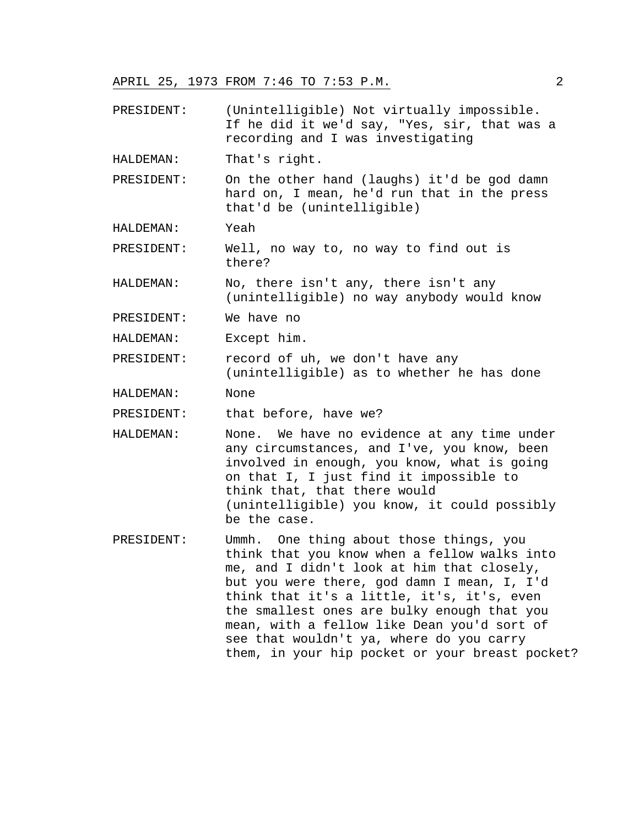APRIL 25, 1973 FROM 7:46 TO 7:53 P.M. 2

PRESIDENT: (Unintelligible) Not virtually impossible. If he did it we'd say, "Yes, sir, that was a recording and I was investigating

HALDEMAN: That's right.

PRESIDENT: On the other hand (laughs) it'd be god damn hard on, I mean, he'd run that in the press that'd be (unintelligible)

HALDEMAN: Yeah

PRESIDENT: Well, no way to, no way to find out is there?

HALDEMAN: No, there isn't any, there isn't any (unintelligible) no way anybody would know

PRESIDENT: We have no

HALDEMAN: Except him.

PRESIDENT: record of uh, we don't have any (unintelligible) as to whether he has done

HALDEMAN: None

PRESIDENT: that before, have we?

HALDEMAN: None. We have no evidence at any time under any circumstances, and I've, you know, been involved in enough, you know, what is going on that I, I just find it impossible to think that, that there would (unintelligible) you know, it could possibly be the case.

PRESIDENT: Ummh. One thing about those things, you think that you know when a fellow walks into me, and I didn't look at him that closely, but you were there, god damn I mean, I, I'd think that it's a little, it's, it's, even the smallest ones are bulky enough that you mean, with a fellow like Dean you'd sort of see that wouldn't ya, where do you carry them, in your hip pocket or your breast pocket?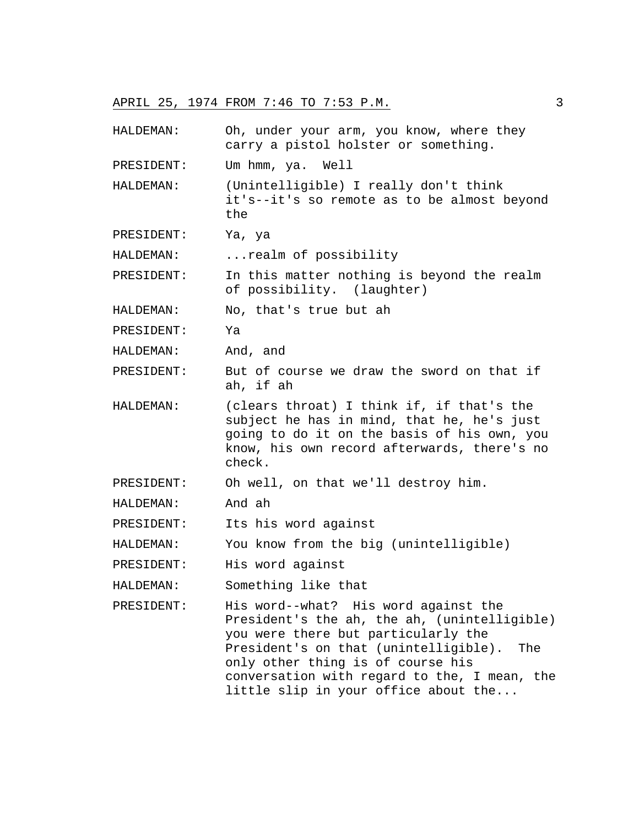## APRIL 25, 1974 FROM 7:46 TO 7:53 P.M. 3

- HALDEMAN: Oh, under your arm, you know, where they carry a pistol holster or something.
- PRESIDENT: Um hmm, ya. Well
- HALDEMAN: (Unintelligible) I really don't think it's--it's so remote as to be almost beyond the
- PRESIDENT: Ya, ya
- HALDEMAN: ...realm of possibility
- PRESIDENT: In this matter nothing is beyond the realm of possibility. (laughter)
- HALDEMAN: No, that's true but ah
- PRESIDENT: Ya
- HALDEMAN: And, and
- PRESIDENT: But of course we draw the sword on that if ah, if ah
- HALDEMAN: (clears throat) I think if, if that's the subject he has in mind, that he, he's just going to do it on the basis of his own, you know, his own record afterwards, there's no check.

PRESIDENT: Oh well, on that we'll destroy him.

- HALDEMAN: And ah
- PRESIDENT: Its his word against
- HALDEMAN: You know from the big (unintelligible)
- PRESIDENT: His word against
- HALDEMAN: Something like that
- PRESIDENT: His word--what? His word against the President's the ah, the ah, (unintelligible) you were there but particularly the President's on that (unintelligible). The only other thing is of course his conversation with regard to the, I mean, the little slip in your office about the...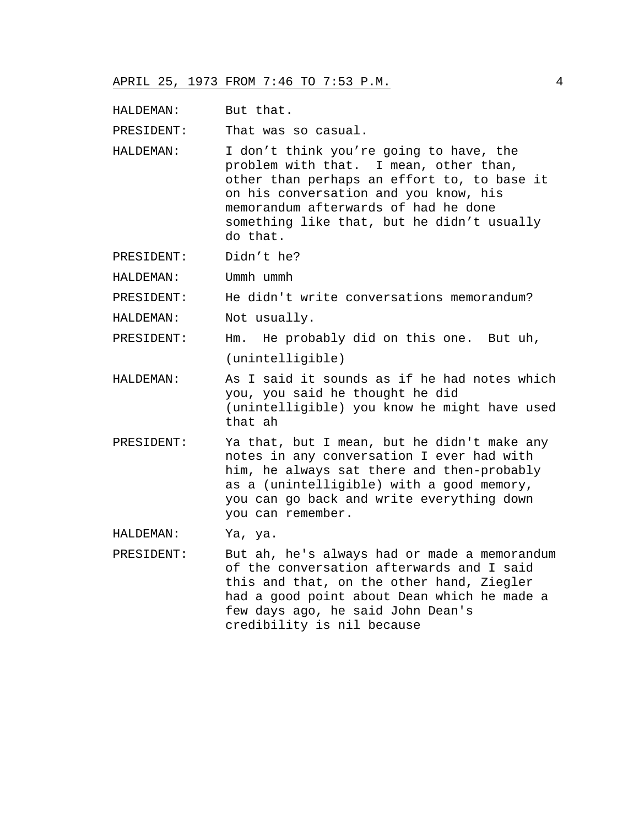HALDEMAN: But that.

PRESIDENT: That was so casual.

- HALDEMAN: I don't think you're going to have, the problem with that. I mean, other than, other than perhaps an effort to, to base it on his conversation and you know, his memorandum afterwards of had he done something like that, but he didn't usually do that.
- PRESIDENT: Didn't he?

HALDEMAN: Ummh ummh

PRESIDENT: He didn't write conversations memorandum?

HALDEMAN: Not usually.

PRESIDENT: Hm. He probably did on this one. But uh, (unintelligible)

- HALDEMAN: As I said it sounds as if he had notes which you, you said he thought he did (unintelligible) you know he might have used that ah
- PRESIDENT: Ya that, but I mean, but he didn't make any notes in any conversation I ever had with him, he always sat there and then-probably as a (unintelligible) with a good memory, you can go back and write everything down you can remember.

HALDEMAN: Ya, ya.

PRESIDENT: But ah, he's always had or made a memorandum of the conversation afterwards and I said this and that, on the other hand, Ziegler had a good point about Dean which he made a few days ago, he said John Dean's credibility is nil because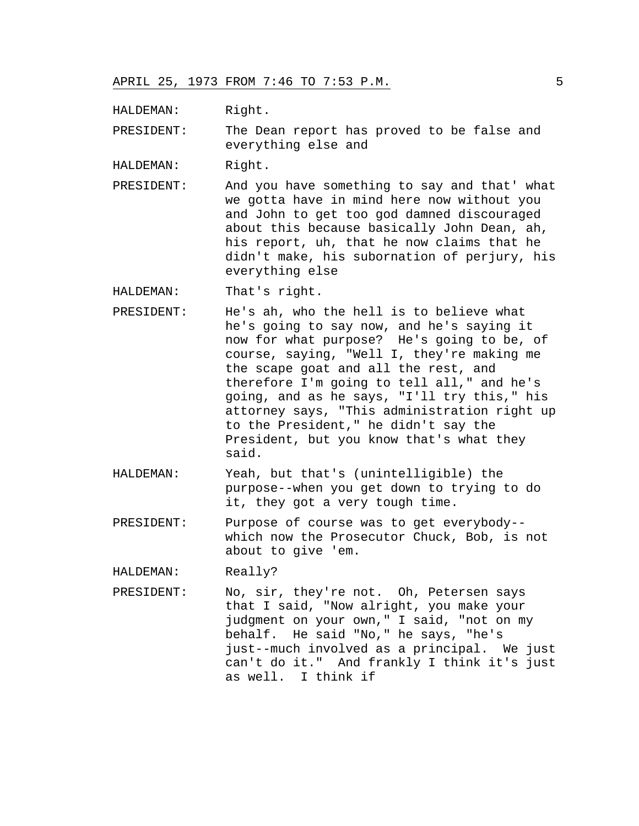HALDEMAN: Right.

PRESIDENT: The Dean report has proved to be false and everything else and

HALDEMAN: Right.

PRESIDENT: And you have something to say and that' what we gotta have in mind here now without you and John to get too god damned discouraged about this because basically John Dean, ah, his report, uh, that he now claims that he didn't make, his subornation of perjury, his everything else

HALDEMAN: That's right.

- PRESIDENT: He's ah, who the hell is to believe what he's going to say now, and he's saying it now for what purpose? He's going to be, of course, saying, "Well I, they're making me the scape goat and all the rest, and therefore I'm going to tell all," and he's going, and as he says, "I'll try this," his attorney says, "This administration right up to the President," he didn't say the President, but you know that's what they said.
- HALDEMAN: Yeah, but that's (unintelligible) the purpose--when you get down to trying to do it, they got a very tough time.
- PRESIDENT: Purpose of course was to get everybody- which now the Prosecutor Chuck, Bob, is not about to give 'em.

HALDEMAN: Really?

PRESIDENT: No, sir, they're not. Oh, Petersen says that I said, "Now alright, you make your judgment on your own," I said, "not on my behalf. He said "No," he says, "he's just--much involved as a principal. We just can't do it." And frankly I think it's just as well. I think if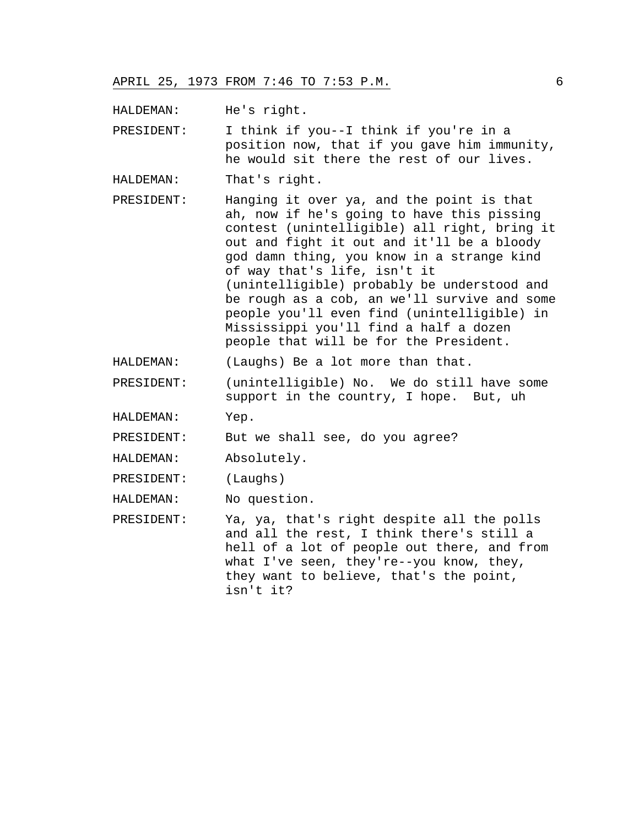HALDEMAN: He's right.

PRESIDENT: I think if you--I think if you're in a position now, that if you gave him immunity, he would sit there the rest of our lives.

- HALDEMAN: That's right.
- PRESIDENT: Hanging it over ya, and the point is that ah, now if he's going to have this pissing contest (unintelligible) all right, bring it out and fight it out and it'll be a bloody god damn thing, you know in a strange kind of way that's life, isn't it (unintelligible) probably be understood and be rough as a cob, an we'll survive and some people you'll even find (unintelligible) in Mississippi you'll find a half a dozen people that will be for the President.
- HALDEMAN: (Laughs) Be a lot more than that.
- PRESIDENT: (unintelligible) No. We do still have some support in the country, I hope. But, uh

HALDEMAN: Yep.

PRESIDENT: But we shall see, do you agree?

HALDEMAN: Absolutely.

PRESIDENT: (Laughs)

HALDEMAN: No question.

PRESIDENT: Ya, ya, that's right despite all the polls and all the rest, I think there's still a hell of a lot of people out there, and from what I've seen, they're--you know, they, they want to believe, that's the point, isn't it?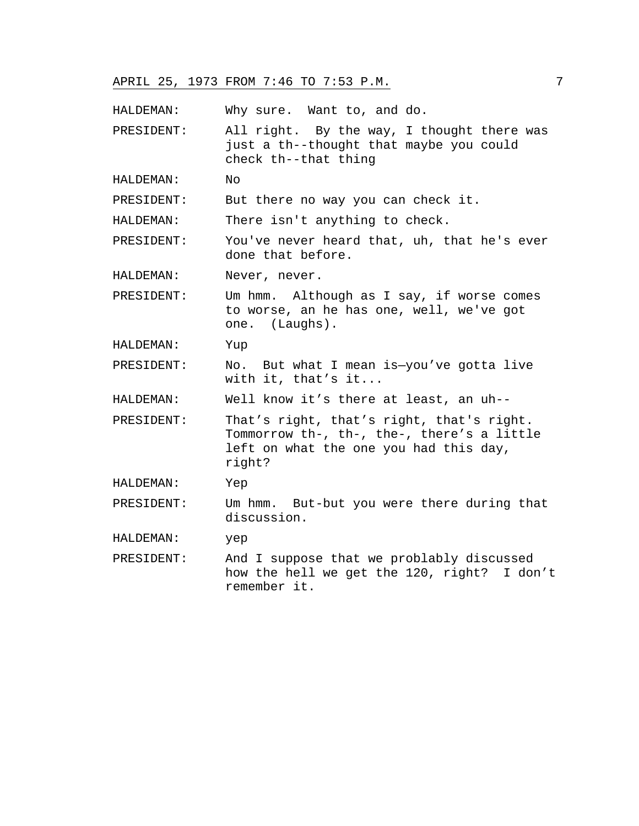APRIL 25, 1973 FROM 7:46 TO 7:53 P.M. 7

HALDEMAN: Why sure. Want to, and do.

PRESIDENT: All right. By the way, I thought there was just a th--thought that maybe you could check th--that thing

HALDEMAN: No

PRESIDENT: But there no way you can check it.

HALDEMAN: There isn't anything to check.

PRESIDENT: You've never heard that, uh, that he's ever done that before.

HALDEMAN: Never, never.

PRESIDENT: Um hmm. Although as I say, if worse comes to worse, an he has one, well, we've got one. (Laughs).

HALDEMAN: Yup

PRESIDENT: No. But what I mean is—you've gotta live with it, that's it...

HALDEMAN: Well know it's there at least, an uh--

PRESIDENT: That's right, that's right, that's right. Tommorrow th-, th-, the-, there's a little left on what the one you had this day, right?

HALDEMAN: Yep

PRESIDENT: Um hmm. But-but you were there during that discussion.

HALDEMAN: yep

PRESIDENT: And I suppose that we problably discussed how the hell we get the 120, right? I don't remember it.